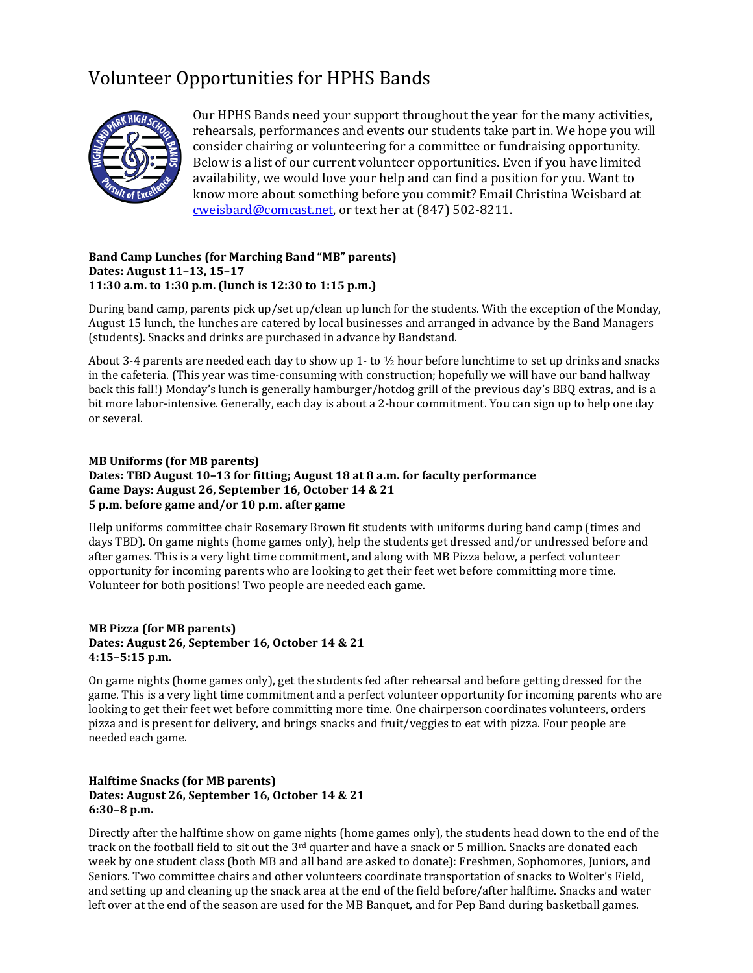## Volunteer Opportunities for HPHS Bands



Our HPHS Bands need your support throughout the year for the many activities, rehearsals, performances and events our students take part in. We hope you will consider chairing or volunteering for a committee or fundraising opportunity. Below is a list of our current volunteer opportunities. Even if you have limited availability, we would love your help and can find a position for you. Want to know more about something before you commit? Email Christina Weisbard at [cweisbard@comcast.net,](mailto:cweisbard@comcast.net) or text her at (847) 502-8211.

#### **Band Camp Lunches (for Marching Band "MB" parents) Dates: August 11–13, 15–17 11:30 a.m. to 1:30 p.m. (lunch is 12:30 to 1:15 p.m.)**

During band camp, parents pick up/set up/clean up lunch for the students. With the exception of the Monday, August 15 lunch, the lunches are catered by local businesses and arranged in advance by the Band Managers (students). Snacks and drinks are purchased in advance by Bandstand.

About 3-4 parents are needed each day to show up 1- to ½ hour before lunchtime to set up drinks and snacks in the cafeteria. (This year was time-consuming with construction; hopefully we will have our band hallway back this fall!) Monday's lunch is generally hamburger/hotdog grill of the previous day's BBQ extras, and is a bit more labor-intensive. Generally, each day is about a 2-hour commitment. You can sign up to help one day or several.

#### **MB Uniforms (for MB parents) Dates: TBD August 10–13 for fitting; August 18 at 8 a.m. for faculty performance Game Days: August 26, September 16, October 14 & 21 5 p.m. before game and/or 10 p.m. after game**

Help uniforms committee chair Rosemary Brown fit students with uniforms during band camp (times and days TBD). On game nights (home games only), help the students get dressed and/or undressed before and after games. This is a very light time commitment, and along with MB Pizza below, a perfect volunteer opportunity for incoming parents who are looking to get their feet wet before committing more time. Volunteer for both positions! Two people are needed each game.

## **MB Pizza (for MB parents) Dates: August 26, September 16, October 14 & 21 4:15–5:15 p.m.**

On game nights (home games only), get the students fed after rehearsal and before getting dressed for the game. This is a very light time commitment and a perfect volunteer opportunity for incoming parents who are looking to get their feet wet before committing more time. One chairperson coordinates volunteers, orders pizza and is present for delivery, and brings snacks and fruit/veggies to eat with pizza. Four people are needed each game.

## **Halftime Snacks (for MB parents) Dates: August 26, September 16, October 14 & 21 6:30–8 p.m.**

Directly after the halftime show on game nights (home games only), the students head down to the end of the track on the football field to sit out the  $3^{rd}$  quarter and have a snack or 5 million. Snacks are donated each week by one student class (both MB and all band are asked to donate): Freshmen, Sophomores, Juniors, and Seniors. Two committee chairs and other volunteers coordinate transportation of snacks to Wolter's Field, and setting up and cleaning up the snack area at the end of the field before/after halftime. Snacks and water left over at the end of the season are used for the MB Banquet, and for Pep Band during basketball games.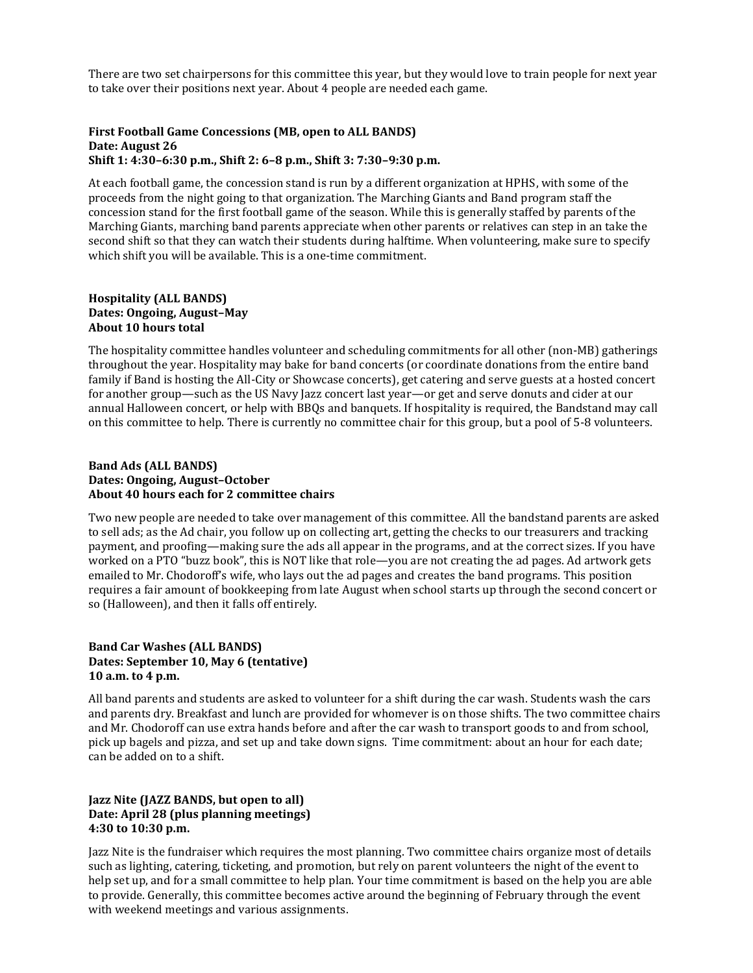There are two set chairpersons for this committee this year, but they would love to train people for next year to take over their positions next year. About 4 people are needed each game.

#### **First Football Game Concessions (MB, open to ALL BANDS) Date: August 26 Shift 1: 4:30–6:30 p.m., Shift 2: 6–8 p.m., Shift 3: 7:30–9:30 p.m.**

At each football game, the concession stand is run by a different organization at HPHS, with some of the proceeds from the night going to that organization. The Marching Giants and Band program staff the concession stand for the first football game of the season. While this is generally staffed by parents of the Marching Giants, marching band parents appreciate when other parents or relatives can step in an take the second shift so that they can watch their students during halftime. When volunteering, make sure to specify which shift you will be available. This is a one-time commitment.

#### **Hospitality (ALL BANDS) Dates: Ongoing, August–May About 10 hours total**

The hospitality committee handles volunteer and scheduling commitments for all other (non-MB) gatherings throughout the year. Hospitality may bake for band concerts (or coordinate donations from the entire band family if Band is hosting the All-City or Showcase concerts), get catering and serve guests at a hosted concert for another group—such as the US Navy Jazz concert last year—or get and serve donuts and cider at our annual Halloween concert, or help with BBQs and banquets. If hospitality is required, the Bandstand may call on this committee to help. There is currently no committee chair for this group, but a pool of 5-8 volunteers.

#### **Band Ads (ALL BANDS) Dates: Ongoing, August–October About 40 hours each for 2 committee chairs**

Two new people are needed to take over management of this committee. All the bandstand parents are asked to sell ads; as the Ad chair, you follow up on collecting art, getting the checks to our treasurers and tracking payment, and proofing—making sure the ads all appear in the programs, and at the correct sizes. If you have worked on a PTO "buzz book", this is NOT like that role—you are not creating the ad pages. Ad artwork gets emailed to Mr. Chodoroff's wife, who lays out the ad pages and creates the band programs. This position requires a fair amount of bookkeeping from late August when school starts up through the second concert or so (Halloween), and then it falls off entirely.

#### **Band Car Washes (ALL BANDS) Dates: September 10, May 6 (tentative) 10 a.m. to 4 p.m.**

All band parents and students are asked to volunteer for a shift during the car wash. Students wash the cars and parents dry. Breakfast and lunch are provided for whomever is on those shifts. The two committee chairs and Mr. Chodoroff can use extra hands before and after the car wash to transport goods to and from school, pick up bagels and pizza, and set up and take down signs. Time commitment: about an hour for each date; can be added on to a shift.

## **Jazz Nite (JAZZ BANDS, but open to all) Date: April 28 (plus planning meetings) 4:30 to 10:30 p.m.**

Jazz Nite is the fundraiser which requires the most planning. Two committee chairs organize most of details such as lighting, catering, ticketing, and promotion, but rely on parent volunteers the night of the event to help set up, and for a small committee to help plan. Your time commitment is based on the help you are able to provide. Generally, this committee becomes active around the beginning of February through the event with weekend meetings and various assignments.